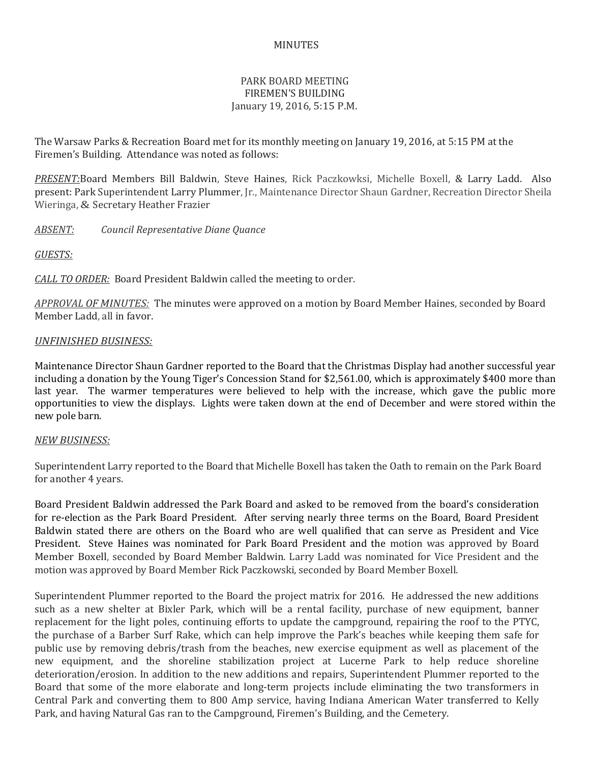## MINUTES

## PARK BOARD MEETING FIREMEN'S BUILDING January 19, 2016, 5:15 P.M.

The Warsaw Parks & Recreation Board met for its monthly meeting on January 19, 2016, at 5:15 PM at the Firemen's Building. Attendance was noted as follows:

*PRESENT:*Board Members Bill Baldwin, Steve Haines, Rick Paczkowksi, Michelle Boxell, & Larry Ladd. Also present: Park Superintendent Larry Plummer, Jr., Maintenance Director Shaun Gardner, Recreation Director Sheila Wieringa, & Secretary Heather Frazier

*ABSENT: Council Representative Diane Quance*

*GUESTS:*

*CALL TO ORDER:* Board President Baldwin called the meeting to order.

*APPROVAL OF MINUTES:* The minutes were approved on a motion by Board Member Haines, seconded by Board Member Ladd, all in favor.

## *UNFINISHED BUSINESS:*

Maintenance Director Shaun Gardner reported to the Board that the Christmas Display had another successful year including a donation by the Young Tiger's Concession Stand for \$2,561.00, which is approximately \$400 more than last year. The warmer temperatures were believed to help with the increase, which gave the public more opportunities to view the displays. Lights were taken down at the end of December and were stored within the new pole barn.

## *NEW BUSINESS:*

Superintendent Larry reported to the Board that Michelle Boxell has taken the Oath to remain on the Park Board for another 4 years.

Board President Baldwin addressed the Park Board and asked to be removed from the board's consideration for re-election as the Park Board President. After serving nearly three terms on the Board, Board President Baldwin stated there are others on the Board who are well qualified that can serve as President and Vice President. Steve Haines was nominated for Park Board President and the motion was approved by Board Member Boxell, seconded by Board Member Baldwin. Larry Ladd was nominated for Vice President and the motion was approved by Board Member Rick Paczkowski, seconded by Board Member Boxell.

Superintendent Plummer reported to the Board the project matrix for 2016. He addressed the new additions such as a new shelter at Bixler Park, which will be a rental facility, purchase of new equipment, banner replacement for the light poles, continuing efforts to update the campground, repairing the roof to the PTYC, the purchase of a Barber Surf Rake, which can help improve the Park's beaches while keeping them safe for public use by removing debris/trash from the beaches, new exercise equipment as well as placement of the new equipment, and the shoreline stabilization project at Lucerne Park to help reduce shoreline deterioration/erosion. In addition to the new additions and repairs, Superintendent Plummer reported to the Board that some of the more elaborate and long-term projects include eliminating the two transformers in Central Park and converting them to 800 Amp service, having Indiana American Water transferred to Kelly Park, and having Natural Gas ran to the Campground, Firemen's Building, and the Cemetery.